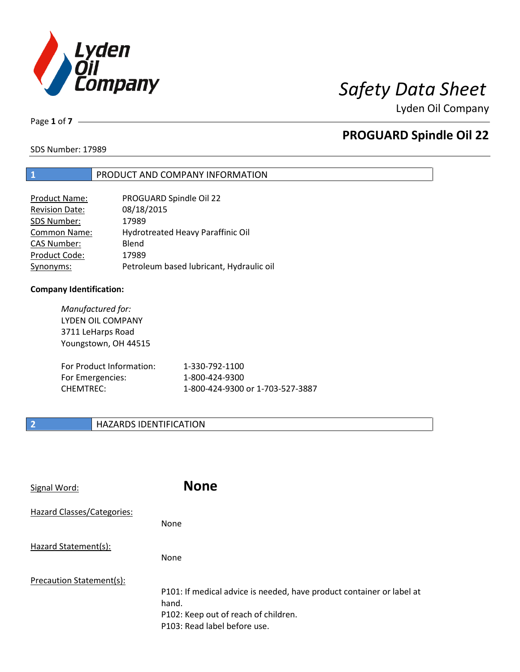

Lyden Oil Company

Page **1** of **7**

# **PROGUARD Spindle Oil 22**

SDS Number: 17989

# **1** PRODUCT AND COMPANY INFORMATION

| <b>Product Name:</b>  | PROGUARD Spindle Oil 22                  |
|-----------------------|------------------------------------------|
| <b>Revision Date:</b> | 08/18/2015                               |
| SDS Number:           | 17989                                    |
| Common Name:          | Hydrotreated Heavy Paraffinic Oil        |
| <b>CAS Number:</b>    | Blend                                    |
| Product Code:         | 17989                                    |
| Synonyms:             | Petroleum based lubricant, Hydraulic oil |

### **Company Identification:**

| Manufactured for:<br>LYDEN OIL COMPANY<br>3711 LeHarps Road<br>Youngstown, OH 44515 |                                  |
|-------------------------------------------------------------------------------------|----------------------------------|
| For Product Information:                                                            | 1-330-792-1100                   |
| For Emergencies:                                                                    | 1-800-424-9300                   |
| CHEMTREC:                                                                           | 1-800-424-9300 or 1-703-527-3887 |

# **2 HAZARDS IDENTIFICATION**

| Signal Word:               | <b>None</b>                                                                                                                                            |
|----------------------------|--------------------------------------------------------------------------------------------------------------------------------------------------------|
| Hazard Classes/Categories: | <b>None</b>                                                                                                                                            |
| Hazard Statement(s):       | <b>None</b>                                                                                                                                            |
| Precaution Statement(s):   | P101: If medical advice is needed, have product container or label at<br>hand.<br>P102: Keep out of reach of children.<br>P103: Read label before use. |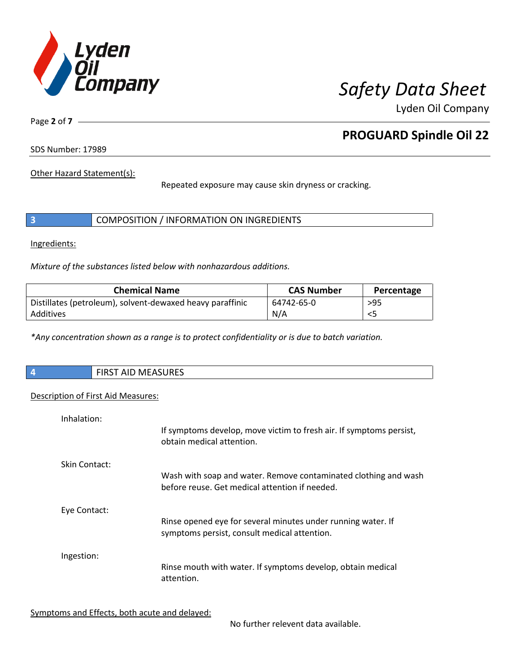

Lyden Oil Company

Page **2** of **7**

# **PROGUARD Spindle Oil 22**

SDS Number: 17989

Other Hazard Statement(s):

Repeated exposure may cause skin dryness or cracking.

| COMPOSITION / INFORMATION ON INGREDIENTS |  |
|------------------------------------------|--|
|------------------------------------------|--|

Ingredients:

 $\overline{\phantom{a}}$ 

*Mixture of the substances listed below with nonhazardous additions.*

| <b>Chemical Name</b>                                      | <b>CAS Number</b> | Percentage |
|-----------------------------------------------------------|-------------------|------------|
| Distillates (petroleum), solvent-dewaxed heavy paraffinic | 64742-65-0        | $>95$      |
| Additives                                                 | N/A               |            |

*\*Any concentration shown as a range is to protect confidentiality or is due to batch variation.*

| $\overline{\phantom{a}}$ | <b>FIRST AID MEASURES</b> |
|--------------------------|---------------------------|
|                          |                           |

### Description of First Aid Measures:

| Inhalation:   | If symptoms develop, move victim to fresh air. If symptoms persist,<br>obtain medical attention.                  |
|---------------|-------------------------------------------------------------------------------------------------------------------|
| Skin Contact: | Wash with soap and water. Remove contaminated clothing and wash<br>before reuse. Get medical attention if needed. |
| Eye Contact:  | Rinse opened eye for several minutes under running water. If<br>symptoms persist, consult medical attention.      |
| Ingestion:    | Rinse mouth with water. If symptoms develop, obtain medical<br>attention.                                         |

Symptoms and Effects, both acute and delayed:

No further relevent data available.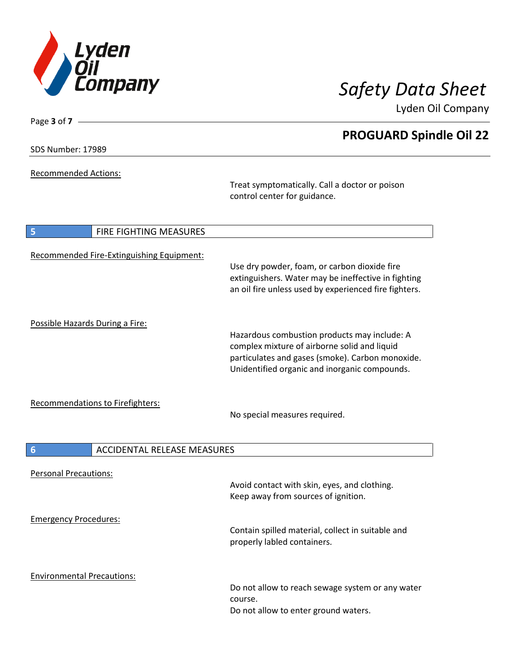

Lyden Oil Company

SDS Number: 17989

Page **3** of **7**

Recommended Actions:

Treat symptomatically. Call a doctor or poison control center for guidance.

| 5                                 | <b>FIRE FIGHTING MEASURES</b>             |                                                                                                                                                                                                   |
|-----------------------------------|-------------------------------------------|---------------------------------------------------------------------------------------------------------------------------------------------------------------------------------------------------|
|                                   | Recommended Fire-Extinguishing Equipment: | Use dry powder, foam, or carbon dioxide fire<br>extinguishers. Water may be ineffective in fighting<br>an oil fire unless used by experienced fire fighters.                                      |
| Possible Hazards During a Fire:   |                                           | Hazardous combustion products may include: A<br>complex mixture of airborne solid and liquid<br>particulates and gases (smoke). Carbon monoxide.<br>Unidentified organic and inorganic compounds. |
|                                   | <b>Recommendations to Firefighters:</b>   | No special measures required.                                                                                                                                                                     |
| $6\phantom{1}6$                   | <b>ACCIDENTAL RELEASE MEASURES</b>        |                                                                                                                                                                                                   |
| <b>Personal Precautions:</b>      |                                           | Avoid contact with skin, eyes, and clothing.<br>Keep away from sources of ignition.                                                                                                               |
| <b>Emergency Procedures:</b>      |                                           | Contain spilled material, collect in suitable and<br>properly labled containers.                                                                                                                  |
| <b>Environmental Precautions:</b> |                                           | Do not allow to reach sewage system or any water<br>course.<br>Do not allow to enter ground waters.                                                                                               |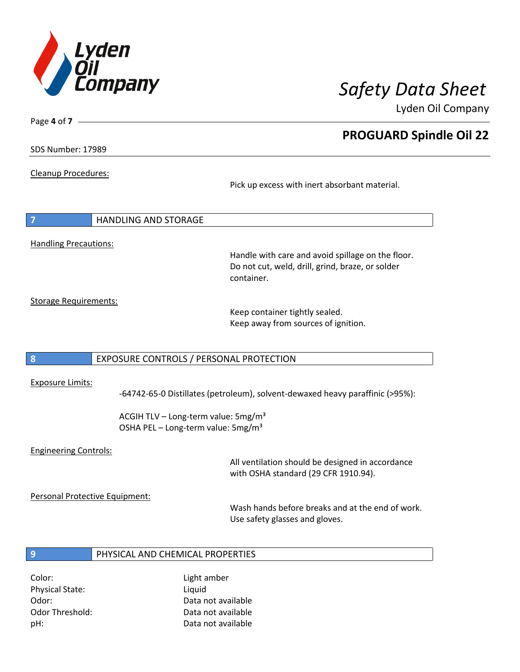

Lyden Oil Company

SDS Number: 17989

Page **4** of **7**

Cleanup Procedures:

Pick up excess with inert absorbant material.

|                              | <b>HANDLING AND STORAGE</b> |
|------------------------------|-----------------------------|
|                              |                             |
| <b>Handling Precautions:</b> |                             |

Handle with care and avoid spillage on the floor. Do not cut, weld, drill, grind, braze, or solder container.

Storage Requirements:

Keep container tightly sealed. Keep away from sources of ignition.

### **8** EXPOSURE CONTROLS / PERSONAL PROTECTION

### Exposure Limits:

-64742-65-0 Distillates (petroleum), solvent-dewaxed heavy paraffinic (>95%):

ACGIH TLV – Long-term value:  $5mg/m<sup>3</sup>$ OSHA PEL - Long-term value: 5mg/m<sup>3</sup>

### Engineering Controls:

All ventilation should be designed in accordance with OSHA standard (29 CFR 1910.94).

Personal Protective Equipment:

Wash hands before breaks and at the end of work. Use safety glasses and gloves.

## **9 PHYSICAL AND CHEMICAL PROPERTIES**

Color: Light amber Physical State: Liquid

Odor: Data not available Odor Threshold: Data not available pH: Data not available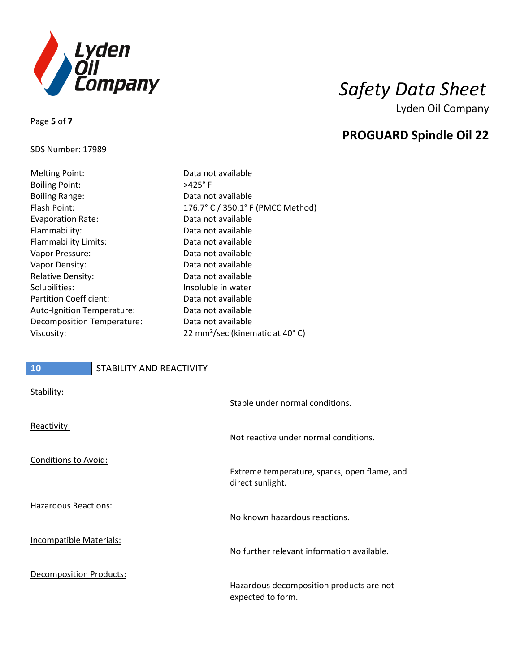

Lyden Oil Company

### SDS Number: 17989

Page **5** of **7**

| <b>Melting Point:</b>         | Data no           |
|-------------------------------|-------------------|
| <b>Boiling Point:</b>         | >425°F            |
| <b>Boiling Range:</b>         | Data nc           |
| Flash Point:                  | $176.7^\circ$ (   |
| <b>Evaporation Rate:</b>      | Data no           |
| Flammability:                 | Data nc           |
| Flammability Limits:          | Data no           |
| Vapor Pressure:               | Data nc           |
| Vapor Density:                | Data nc           |
| Relative Density:             | Data nc           |
| Solubilities:                 | Insolub           |
| <b>Partition Coefficient:</b> | Data nc           |
| Auto-Ignition Temperature:    | Data no           |
| Decomposition Temperature:    | Data no           |
| Viscosity:                    | $22 \text{ mm}^2$ |

# a not available a not available .7° C / 350.1° F (PMCC Method) a not available a not available a not available a not available a not available a not available Iuble in water a not available a not available a not available mm<sup>2</sup>/sec (kinematic at 40°C)

### **10** STABILITY AND REACTIVITY

| Stability:                     | Stable under normal conditions.                                  |
|--------------------------------|------------------------------------------------------------------|
| Reactivity:                    | Not reactive under normal conditions.                            |
| <b>Conditions to Avoid:</b>    | Extreme temperature, sparks, open flame, and<br>direct sunlight. |
| <b>Hazardous Reactions:</b>    | No known hazardous reactions.                                    |
| Incompatible Materials:        | No further relevant information available.                       |
| <b>Decomposition Products:</b> | Hazardous decomposition products are not<br>expected to form.    |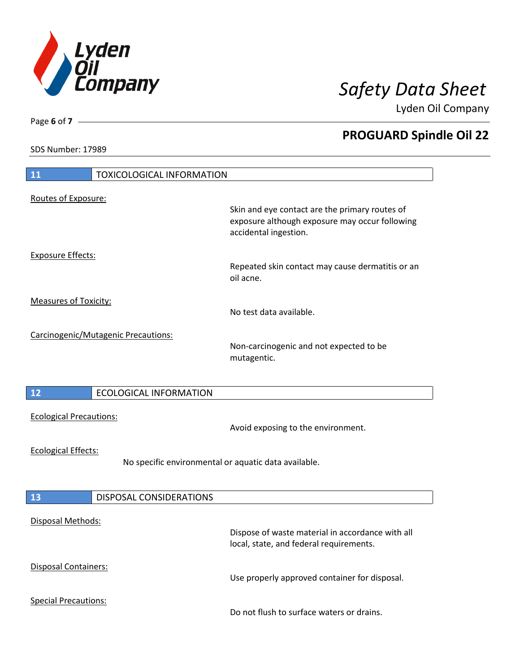

Lyden Oil Company

SDS Number: 17989

Page **6** of **7**

| 11<br><b>TOXICOLOGICAL INFORMATION</b>                                             |                                                                                                                           |
|------------------------------------------------------------------------------------|---------------------------------------------------------------------------------------------------------------------------|
| Routes of Exposure:                                                                |                                                                                                                           |
|                                                                                    | Skin and eye contact are the primary routes of<br>exposure although exposure may occur following<br>accidental ingestion. |
| <b>Exposure Effects:</b>                                                           | Repeated skin contact may cause dermatitis or an<br>oil acne.                                                             |
| <b>Measures of Toxicity:</b>                                                       | No test data available.                                                                                                   |
| Carcinogenic/Mutagenic Precautions:                                                | Non-carcinogenic and not expected to be<br>mutagentic.                                                                    |
| 12<br><b>ECOLOGICAL INFORMATION</b>                                                |                                                                                                                           |
| <b>Ecological Precautions:</b>                                                     | Avoid exposing to the environment.                                                                                        |
| <b>Ecological Effects:</b><br>No specific environmental or aquatic data available. |                                                                                                                           |
| <b>13</b><br>DISPOSAL CONSIDERATIONS                                               |                                                                                                                           |
| Disposal Methods:                                                                  | Dispose of waste material in accordance with all<br>local, state, and federal requirements.                               |
| Disposal Containers:                                                               | Use properly approved container for disposal.                                                                             |
| <b>Special Precautions:</b>                                                        | Do not flush to surface waters or drains.                                                                                 |